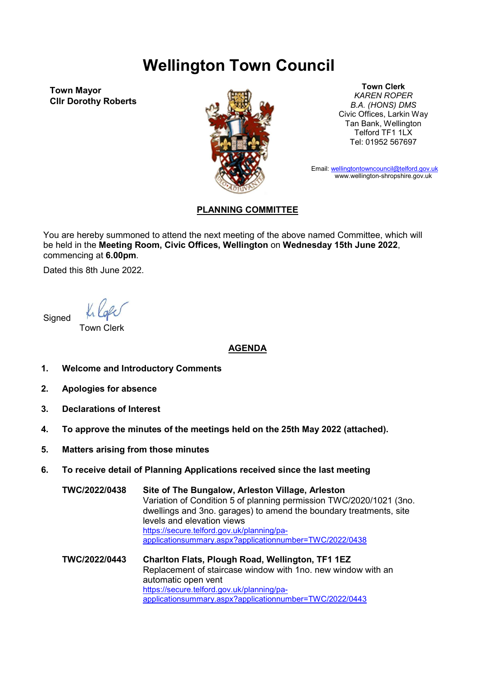## Wellington Town Council

Town Mayor Cllr Dorothy Roberts



Town Clerk KAREN ROPER B.A. (HONS) DMS Civic Offices, Larkin Way Tan Bank, Wellington Telford TF1 1LX Tel: 01952 567697

Email: wellingtontowncouncil@telford.gov.uk www.wellington-shropshire.gov.uk

## PLANNING COMMITTEE

You are hereby summoned to attend the next meeting of the above named Committee, which will be held in the Meeting Room, Civic Offices, Wellington on Wednesday 15th June 2022, commencing at 6.00pm.

Dated this 8th June 2022.

**Signed** 

Town Clerk

## AGENDA

- 1. Welcome and Introductory Comments
- 2. Apologies for absence
- 3. Declarations of Interest
- 4. To approve the minutes of the meetings held on the 25th May 2022 (attached).
- 5. Matters arising from those minutes
- 6. To receive detail of Planning Applications received since the last meeting

TWC/2022/0438 Site of The Bungalow, Arleston Village, Arleston Variation of Condition 5 of planning permission TWC/2020/1021 (3no. dwellings and 3no. garages) to amend the boundary treatments, site levels and elevation views https://secure.telford.gov.uk/planning/paapplicationsummary.aspx?applicationnumber=TWC/2022/0438

TWC/2022/0443 Charlton Flats, Plough Road, Wellington, TF1 1EZ Replacement of staircase window with 1no. new window with an automatic open vent https://secure.telford.gov.uk/planning/paapplicationsummary.aspx?applicationnumber=TWC/2022/0443